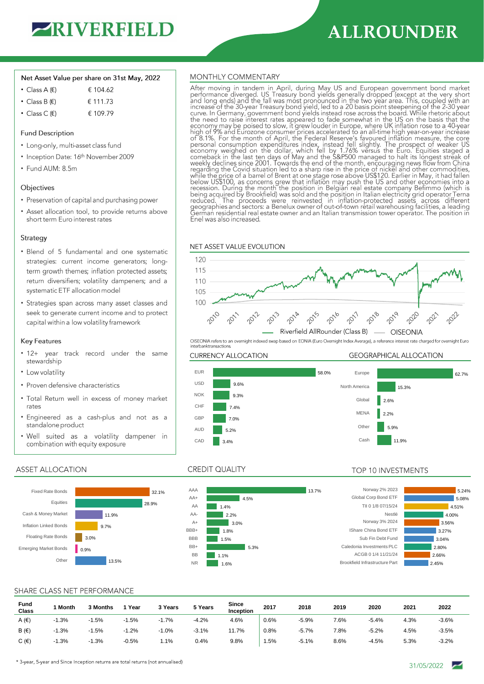

# **ALLROUNDER**

### Net Asset Value per share on 31st May, 2022

- Class A  $(E)$ € 104.62
- Class B  $(E)$ € 111.73
- Class C $(E)$ € 109.79

## **Fund Description**

- Long-only, multi-asset class fund
- Inception Date: 16th November 2009
- Fund AUM: 8.5m

#### Objectives

- Preservation of capital and purchasing power
- Asset allocation tool, to provide returns above short term Euro interest rates

#### Strategy

- · Blend of 5 fundamental and one systematic strategies: current income generators; longterm growth themes; inflation protected assets; return diversifiers; volatility dampeners; and a systematic ETF allocation model
- Strategies span across many asset classes and seek to generate current income and to protect capital within a low volatility framework

## **Key Features**

- 12+ year track record under the same stewardship
- Low volatility
- Proven defensive characteristics
- . Total Return well in excess of money market rates
- · Engineered as a cash-plus and not as a standalone product
- . Well suited as a volatility dampener in combination with equity exposure

# **ASSET ALLOCATION**



## MONTHLY COMMENTARY

After moving in tandem in April, during May US and European government bond market performance diverged. US Treasury bond yields generally dropped (except at the very short and long ends) and the fall was most pronounced i There is on the solution of the second interest in the case of the board. While the toric about<br>the need to raise interest rates appeared to fade somewhat in the US on the basis that the<br>economy may be poised to slow, it g high of 9% and Eurozone consumer prices accelerated to an all-time high year-on-year increase<br>of 8.1%. For the month of April, the Federal Reserve's favoured inflation measure, the core<br>personal consumption expenditures in below US\$100, as concerns grew that inflation may push the US and other economies into<br>the integration. During the month the position in Belgian real estate company Befimmo (which is<br>being acquired by Brookfield) was sold German residential real estate owner and an Italian transmission tower operator. The position in Enel was also increased.

## NET ASSET VALUE EVOLUTION





# **GEOGRAPHICAL ALLOCATION**



Brookfield Infrastructure Parties

Caledon

IShare China Bond ETF

 $13.7%$ 

# **CREDIT QUALITY**



## TOP 10 INVESTMENTS

| Norway 2% 2023            | 5.24% |
|---------------------------|-------|
| Global Corp Bond ETF      | 5.08% |
| TIL 0 1/8 07/15/24        | 4.51% |
| Nestlé                    | 4.00% |
| Norway 3% 2024            | 3.56% |
| Share China Bond ETF      | 3.27% |
| Sub Fin Debt Fund         | 3.04% |
| donia Investments PLC     | 2.80% |
| ACGB 0 1/4 11/21/24       | 2.66% |
| field Infrastructure Part | 2.45% |
|                           |       |

# SHARE CLASS NET PERFORMANCE

| Fund<br><b>Class</b> | Month   | 3 Months | Year    | 3 Years | 5 Years | <b>Since</b><br>Inception | 2017 | 2018    | 2019 | 2020    | 2021 | 2022    |
|----------------------|---------|----------|---------|---------|---------|---------------------------|------|---------|------|---------|------|---------|
| A $(\epsilon)$       | $-1.3%$ | $-1.5%$  | $-1.5%$ | 1.7%    | $-4.2%$ | 4.6%                      | 0.6% | $-5.9%$ | 7.6% | -5.4%   | 4.3% | $-3.6%$ |
| B(f)                 | $-1.3%$ | $-1.5%$  | $-1.2%$ | $-1.0%$ | $-3.1%$ | 11.7%                     | 0.8% | $-5.7%$ | 7.8% | $-5.2%$ | 4.5% | $-3.5%$ |
| C $(\epsilon)$       | $-1.3%$ | $-1.3%$  | $-0.5%$ | 1.1%    | 0.4%    | 9.8%                      | 1.5% | $-5.1%$ | 8.6% | $-4.5%$ | 5.3% | $-3.2%$ |